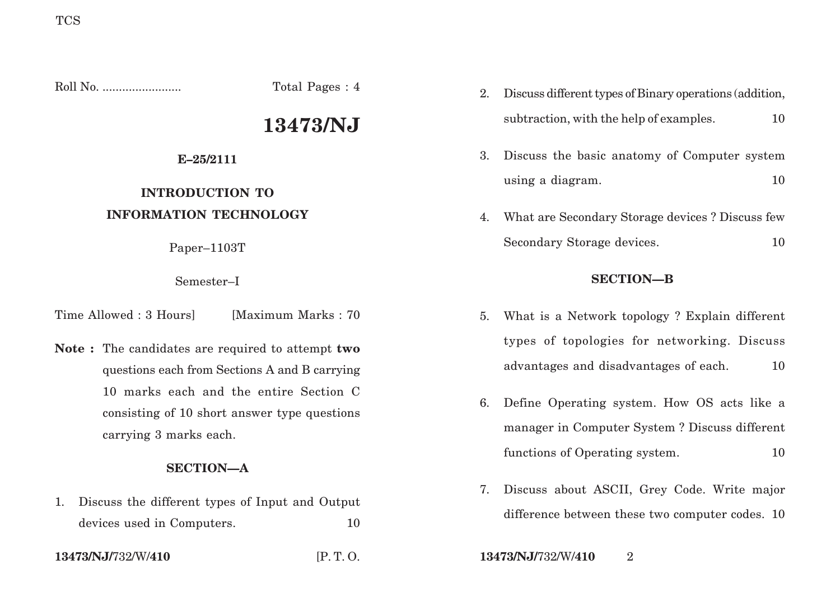Roll No. ........................ Total Pages : 4

# **13473/NJ**

### **E–25/2111**

## **INTRODUCTION TO INFORMATION TECHNOLOGY**

Paper–1103T

Semester–I

Time Allowed : 3 Hours [Maximum Marks : 70]

**Note :** The candidates are required to attempt **two** questions each from Sections A and B carrying 10 marks each and the entire Section C consisting of 10 short answer type questions carrying 3 marks each.

### **SECTION—A**

- 1. Discuss the different types of Input and Output devices used in Computers. 10
- 

- 2. Discuss different types of Binary operations (addition, subtraction, with the help of examples.  $10$
- 3. Discuss the basic anatomy of Computer system using a diagram. 10
- 4. What are Secondary Storage devices ? Discuss few Secondary Storage devices. 10

### **SECTION—B**

- 5. What is a Network topology ? Explain different types of topologies for networking. Discuss advantages and disadvantages of each. 10
- 6. Define Operating system. How OS acts like a manager in Computer System ? Discuss different functions of Operating system. 10
- 7. Discuss about ASCII, Grey Code. Write major difference between these two computer codes. 10

**13473/NJ/**732/W/**410** [P. T. O. **13473/NJ/**732/W/**410** 2